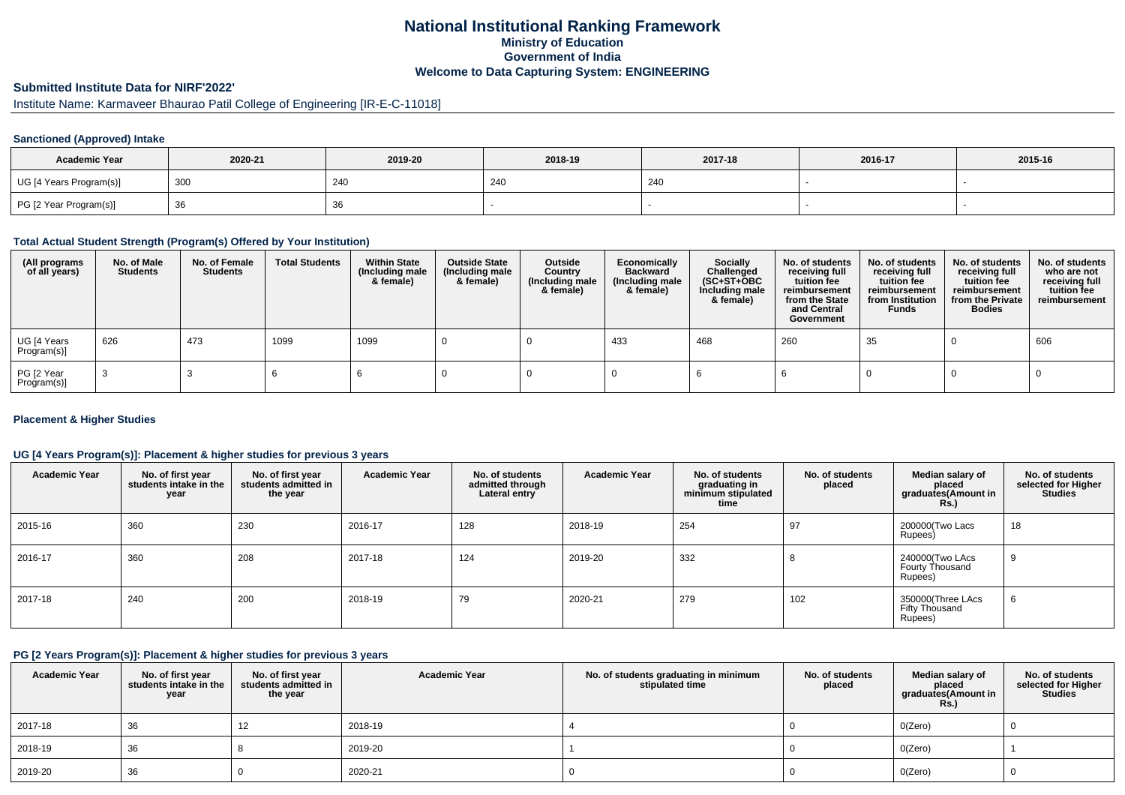## **National Institutional Ranking FrameworkMinistry of Education Government of IndiaWelcome to Data Capturing System: ENGINEERING**

# **Submitted Institute Data for NIRF'2022'**

# Institute Name: Karmaveer Bhaurao Patil College of Engineering [IR-E-C-11018]

### **Sanctioned (Approved) Intake**

| <b>Academic Year</b>    | 2020-21 | 2019-20 | 2018-19 | 2017-18 | 2016-17 | 2015-16 |
|-------------------------|---------|---------|---------|---------|---------|---------|
| UG [4 Years Program(s)] | 300     | 240     | 240     | 240     |         |         |
| PG [2 Year Program(s)]  | ັບບ     | 36      |         |         |         |         |

#### **Total Actual Student Strength (Program(s) Offered by Your Institution)**

| (All programs<br>of all years) | No. of Male<br><b>Students</b> | No. of Female<br>Students | <b>Total Students</b> | <b>Within State</b><br>(Including male<br>& female) | <b>Outside State</b><br>(Including male<br>& female) | Outside<br>Country<br>(Including male<br>& female) | Economically<br><b>Backward</b><br>(Including male<br>& female) | <b>Socially</b><br>Challenged<br>$(SC+ST+OBC)$<br>Including male<br>& female) | No. of students<br>receiving full<br>tuition fee<br>reimbursement<br>from the State<br>and Central<br>Government | No. of students<br>receiving full<br>tuition fee<br>reimbursement<br>from Institution<br><b>Funds</b> | No. of students<br>receiving full<br>tuition fee<br>reimbursement<br>from the Private<br><b>Bodies</b> | No. of students<br>who are not<br>receiving full<br>tuition fee<br>reimbursement |
|--------------------------------|--------------------------------|---------------------------|-----------------------|-----------------------------------------------------|------------------------------------------------------|----------------------------------------------------|-----------------------------------------------------------------|-------------------------------------------------------------------------------|------------------------------------------------------------------------------------------------------------------|-------------------------------------------------------------------------------------------------------|--------------------------------------------------------------------------------------------------------|----------------------------------------------------------------------------------|
| UG [4 Years<br>Program(s)]     | 626                            | 473                       | 1099                  | 1099                                                |                                                      |                                                    | 433                                                             | 468                                                                           | 260                                                                                                              | 35                                                                                                    |                                                                                                        | 606                                                                              |
| PG [2 Year<br>Program(s)]      |                                |                           |                       |                                                     |                                                      |                                                    |                                                                 |                                                                               |                                                                                                                  |                                                                                                       |                                                                                                        |                                                                                  |

### **Placement & Higher Studies**

### **UG [4 Years Program(s)]: Placement & higher studies for previous 3 years**

| <b>Academic Year</b> | No. of first year<br>students intake in the<br>year | No. of first vear<br>students admitted in<br>the year | <b>Academic Year</b> | No. of students<br>admitted through<br>Lateral entry | <b>Academic Year</b> | No. of students<br>graduating in<br>minimum stipulated<br>time | No. of students<br>placed | Median salary of<br>placed<br>graduates(Amount in<br><b>Rs.</b> ) | No. of students<br>selected for Higher<br><b>Studies</b> |
|----------------------|-----------------------------------------------------|-------------------------------------------------------|----------------------|------------------------------------------------------|----------------------|----------------------------------------------------------------|---------------------------|-------------------------------------------------------------------|----------------------------------------------------------|
| 2015-16              | 360                                                 | 230                                                   | 2016-17              | 128                                                  | 2018-19              | 254                                                            | 97                        | 200000(Two Lacs<br>Rupees)                                        | 18                                                       |
| 2016-17              | 360                                                 | 208                                                   | 2017-18              | 124                                                  | 2019-20              | 332                                                            |                           | 240000(Two LAcs<br>Fourty Thousand<br>Rupees)                     | 9                                                        |
| 2017-18              | 240                                                 | 200                                                   | 2018-19              | 79                                                   | 2020-21              | 279                                                            | 102                       | 350000(Three LAcs<br>Fifty Thousand<br>Rupees)                    | 6                                                        |

#### **PG [2 Years Program(s)]: Placement & higher studies for previous 3 years**

| <b>Academic Year</b> | No. of first year<br>students intake in the<br>year | No. of first vear<br>students admitted in<br>the year | <b>Academic Year</b> | No. of students graduating in minimum<br>stipulated time | No. of students<br>placed | Median salary of<br>placed<br>graduates(Amount in<br><b>Rs.)</b> | No. of students<br>selected for Higher<br><b>Studies</b> |
|----------------------|-----------------------------------------------------|-------------------------------------------------------|----------------------|----------------------------------------------------------|---------------------------|------------------------------------------------------------------|----------------------------------------------------------|
| 2017-18              | 36                                                  | 12                                                    | 2018-19              |                                                          |                           | O(Zero)                                                          |                                                          |
| 2018-19              | 36                                                  |                                                       | 2019-20              |                                                          |                           | O(Zero)                                                          |                                                          |
| 2019-20              | 36                                                  |                                                       | 2020-21              |                                                          |                           | O(Zero)                                                          |                                                          |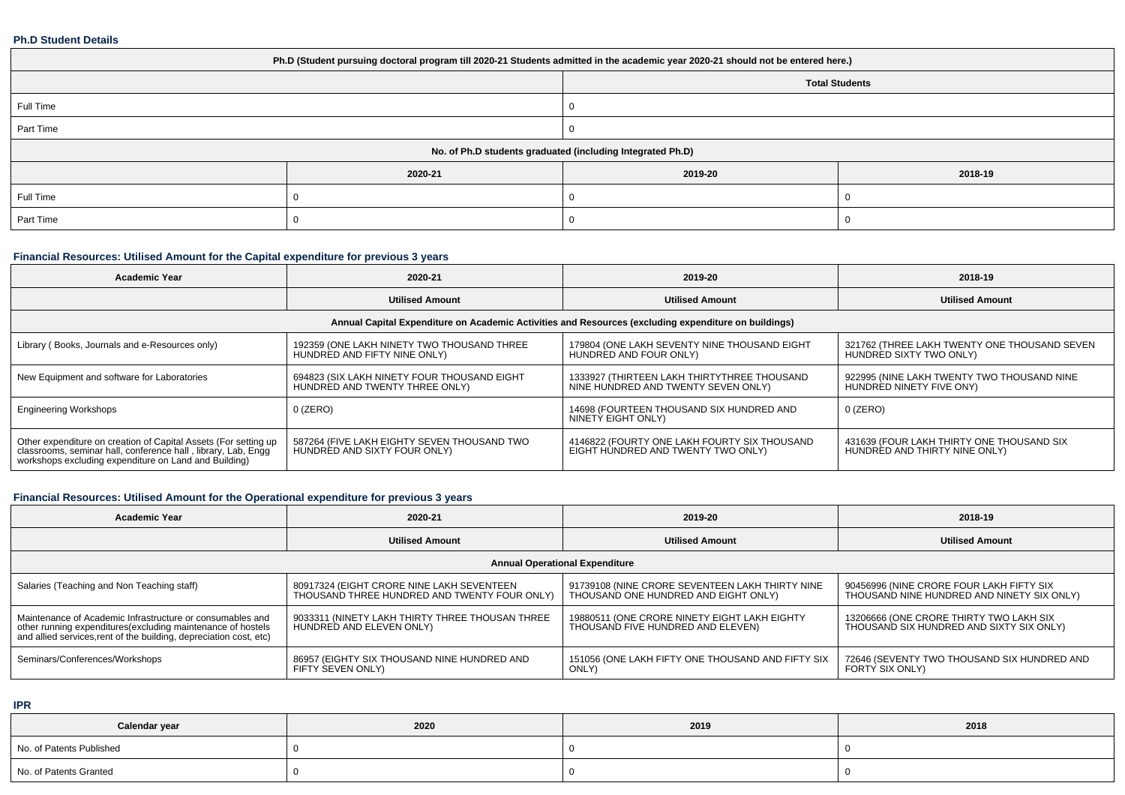#### **Ph.D Student Details**

| Ph.D (Student pursuing doctoral program till 2020-21 Students admitted in the academic year 2020-21 should not be entered here.) |                                                            |         |         |  |  |  |  |
|----------------------------------------------------------------------------------------------------------------------------------|------------------------------------------------------------|---------|---------|--|--|--|--|
| <b>Total Students</b>                                                                                                            |                                                            |         |         |  |  |  |  |
| Full Time                                                                                                                        |                                                            |         |         |  |  |  |  |
| Part Time                                                                                                                        |                                                            |         |         |  |  |  |  |
|                                                                                                                                  | No. of Ph.D students graduated (including Integrated Ph.D) |         |         |  |  |  |  |
|                                                                                                                                  | 2020-21                                                    | 2019-20 | 2018-19 |  |  |  |  |
| Full Time                                                                                                                        |                                                            |         |         |  |  |  |  |
| Part Time                                                                                                                        |                                                            |         |         |  |  |  |  |

## **Financial Resources: Utilised Amount for the Capital expenditure for previous 3 years**

| <b>Academic Year</b>                                                                                                                                                                      | 2020-21                                                                                              | 2019-20                                                                            | 2018-19                                                                    |  |  |  |  |  |  |  |
|-------------------------------------------------------------------------------------------------------------------------------------------------------------------------------------------|------------------------------------------------------------------------------------------------------|------------------------------------------------------------------------------------|----------------------------------------------------------------------------|--|--|--|--|--|--|--|
|                                                                                                                                                                                           | <b>Utilised Amount</b>                                                                               | <b>Utilised Amount</b>                                                             | <b>Utilised Amount</b>                                                     |  |  |  |  |  |  |  |
|                                                                                                                                                                                           | Annual Capital Expenditure on Academic Activities and Resources (excluding expenditure on buildings) |                                                                                    |                                                                            |  |  |  |  |  |  |  |
| Library (Books, Journals and e-Resources only)                                                                                                                                            | 192359 (ONE LAKH NINETY TWO THOUSAND THREE<br>HUNDRED AND FIFTY NINE ONLY)                           | 179804 (ONE LAKH SEVENTY NINE THOUSAND EIGHT<br>HUNDRED AND FOUR ONLY)             | 321762 (THREE LAKH TWENTY ONE THOUSAND SEVEN<br>HUNDRED SIXTY TWO ONLY)    |  |  |  |  |  |  |  |
| New Equipment and software for Laboratories                                                                                                                                               | 694823 (SIX LAKH NINETY FOUR THOUSAND EIGHT<br>HUNDRED AND TWENTY THREE ONLY)                        | 1333927 (THIRTEEN LAKH THIRTYTHREE THOUSAND<br>NINE HUNDRED AND TWENTY SEVEN ONLY) | 922995 (NINE LAKH TWENTY TWO THOUSAND NINE<br>HUNDRED NINETY FIVE ONY)     |  |  |  |  |  |  |  |
| <b>Engineering Workshops</b>                                                                                                                                                              | $0$ (ZERO)                                                                                           | 14698 (FOURTEEN THOUSAND SIX HUNDRED AND<br>NINETY EIGHT ONLY)                     | 0 (ZERO)                                                                   |  |  |  |  |  |  |  |
| Other expenditure on creation of Capital Assets (For setting up<br>classrooms, seminar hall, conference hall, library, Lab, Engg<br>workshops excluding expenditure on Land and Building) | 587264 (FIVE LAKH EIGHTY SEVEN THOUSAND TWO<br>HUNDRED AND SIXTY FOUR ONLY)                          | 4146822 (FOURTY ONE LAKH FOURTY SIX THOUSAND<br>EIGHT HUNDRED AND TWENTY TWO ONLY) | 431639 (FOUR LAKH THIRTY ONE THOUSAND SIX<br>HUNDRED AND THIRTY NINE ONLY) |  |  |  |  |  |  |  |

# **Financial Resources: Utilised Amount for the Operational expenditure for previous 3 years**

| Academic Year                                                                                                                     | 2020-21                                         | 2019-20                                           | 2018-19                                     |  |  |  |  |  |  |
|-----------------------------------------------------------------------------------------------------------------------------------|-------------------------------------------------|---------------------------------------------------|---------------------------------------------|--|--|--|--|--|--|
|                                                                                                                                   | <b>Utilised Amount</b>                          | <b>Utilised Amount</b>                            | <b>Utilised Amount</b>                      |  |  |  |  |  |  |
| <b>Annual Operational Expenditure</b>                                                                                             |                                                 |                                                   |                                             |  |  |  |  |  |  |
| Salaries (Teaching and Non Teaching staff)                                                                                        | 80917324 (EIGHT CRORE NINE LAKH SEVENTEEN       | 91739108 (NINE CRORE SEVENTEEN LAKH THIRTY NINE   | 90456996 (NINE CRORE FOUR LAKH FIFTY SIX    |  |  |  |  |  |  |
|                                                                                                                                   | THOUSAND THREE HUNDRED AND TWENTY FOUR ONLY)    | THOUSAND ONE HUNDRED AND EIGHT ONLY)              | THOUSAND NINE HUNDRED AND NINETY SIX ONLY)  |  |  |  |  |  |  |
| Maintenance of Academic Infrastructure or consumables and                                                                         | 9033311 (NINETY LAKH THIRTY THREE THOUSAN THREE | 19880511 (ONE CRORE NINETY EIGHT LAKH EIGHTY      | 13206666 (ONE CRORE THIRTY TWO LAKH SIX     |  |  |  |  |  |  |
| other running expenditures(excluding maintenance of hostels<br>and allied services, rent of the building, depreciation cost, etc) | HUNDRED AND ELEVEN ONLY)                        | THOUSAND FIVE HUNDRED AND ELEVEN)                 | THOUSAND SIX HUNDRED AND SIXTY SIX ONLY)    |  |  |  |  |  |  |
| Seminars/Conferences/Workshops                                                                                                    | 86957 (EIGHTY SIX THOUSAND NINE HUNDRED AND     | 151056 (ONE LAKH FIFTY ONE THOUSAND AND FIFTY SIX | 72646 (SEVENTY TWO THOUSAND SIX HUNDRED AND |  |  |  |  |  |  |
|                                                                                                                                   | FIFTY SEVEN ONLY)                               | ONLY)                                             | <b>FORTY SIX ONLY)</b>                      |  |  |  |  |  |  |

**IPR**

| Calendar year            | 2020 | 2019 | 2018 |
|--------------------------|------|------|------|
| No. of Patents Published |      |      |      |
| No. of Patents Granted   |      |      |      |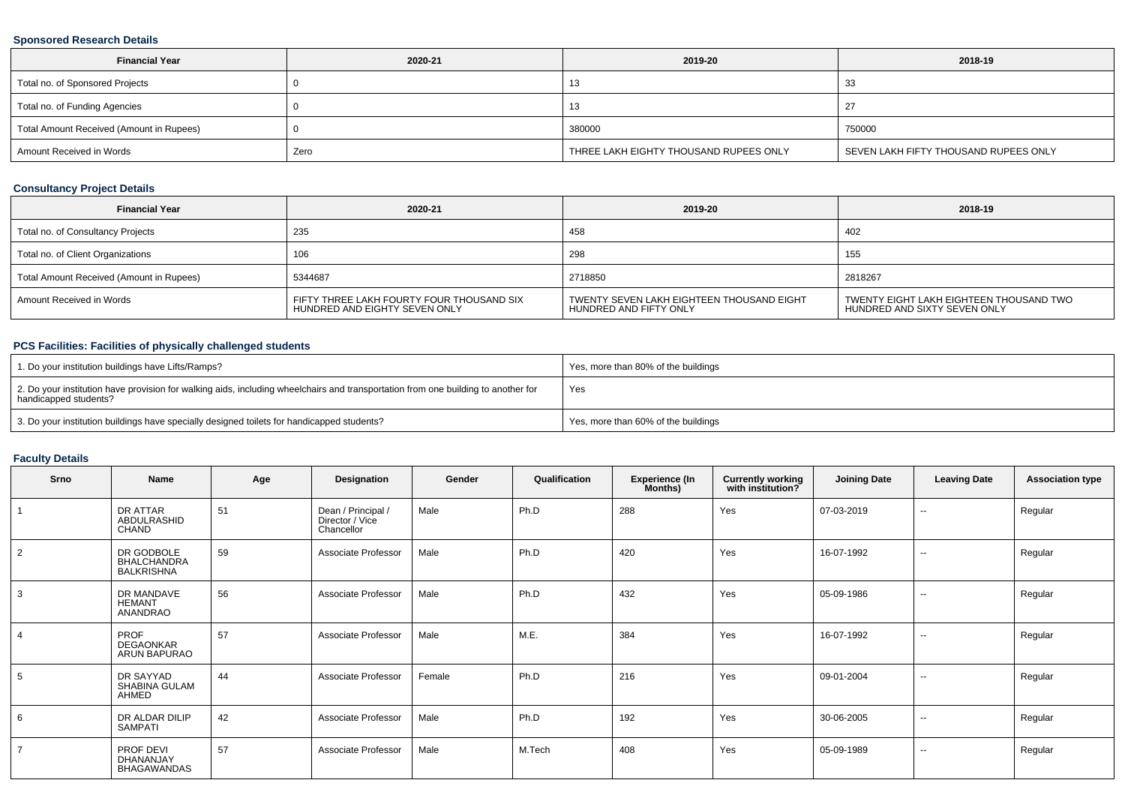## **Sponsored Research Details**

| <b>Financial Year</b>                    | 2020-21 | 2019-20                                | 2018-19                               |
|------------------------------------------|---------|----------------------------------------|---------------------------------------|
| Total no. of Sponsored Projects          |         | د، ا                                   | 33                                    |
| Total no. of Funding Agencies            |         |                                        |                                       |
| Total Amount Received (Amount in Rupees) |         | 380000                                 | 750000                                |
| Amount Received in Words                 | Zero    | THREE LAKH EIGHTY THOUSAND RUPEES ONLY | SEVEN LAKH FIFTY THOUSAND RUPEES ONLY |

## **Consultancy Project Details**

| <b>Financial Year</b>                    | 2020-21                                                                    | 2019-20                                                             | 2018-19                                                                 |
|------------------------------------------|----------------------------------------------------------------------------|---------------------------------------------------------------------|-------------------------------------------------------------------------|
| Total no. of Consultancy Projects        | 235                                                                        | 458                                                                 | 402                                                                     |
| Total no. of Client Organizations        | 106                                                                        | 298                                                                 | 155                                                                     |
| Total Amount Received (Amount in Rupees) | 5344687                                                                    | 2718850                                                             | 2818267                                                                 |
| Amount Received in Words                 | FIFTY THREE LAKH FOURTY FOUR THOUSAND SIX<br>HUNDRED AND EIGHTY SEVEN ONLY | TWENTY SEVEN LAKH EIGHTEEN THOUSAND EIGHT<br>HUNDRED AND FIFTY ONLY | TWENTY EIGHT LAKH EIGHTEEN THOUSAND TWO<br>HUNDRED AND SIXTY SEVEN ONLY |

## **PCS Facilities: Facilities of physically challenged students**

| 1. Do your institution buildings have Lifts/Ramps?                                                                                                         | Yes, more than 80% of the buildings |
|------------------------------------------------------------------------------------------------------------------------------------------------------------|-------------------------------------|
| 2. Do your institution have provision for walking aids, including wheelchairs and transportation from one building to another for<br>handicapped students? | Yes                                 |
| 3. Do your institution buildings have specially designed toilets for handicapped students?                                                                 | Yes, more than 60% of the buildings |

### **Faculty Details**

| Srno           | Name                                                  | Age | Designation                                         | Gender | Qualification | <b>Experience (In</b><br>Months) | <b>Currently working</b><br>with institution? | <b>Joining Date</b> | <b>Leaving Date</b> | <b>Association type</b> |
|----------------|-------------------------------------------------------|-----|-----------------------------------------------------|--------|---------------|----------------------------------|-----------------------------------------------|---------------------|---------------------|-------------------------|
|                | DR ATTAR<br>ABDULRASHID<br><b>CHAND</b>               | 51  | Dean / Principal /<br>Director / Vice<br>Chancellor | Male   | Ph.D          | 288                              | Yes                                           | 07-03-2019          | $\sim$              | Regular                 |
| $\overline{2}$ | DR GODBOLE<br><b>BHALCHANDRA</b><br><b>BALKRISHNA</b> | 59  | Associate Professor                                 | Male   | Ph.D          | 420                              | Yes                                           | 16-07-1992          | $\sim$              | Regular                 |
| 3              | DR MANDAVE<br><b>HEMANT</b><br>ANANDRAO               | 56  | Associate Professor                                 | Male   | Ph.D          | 432                              | Yes                                           | 05-09-1986          | $\sim$              | Regular                 |
| $\overline{4}$ | <b>PROF</b><br><b>DEGAONKAR</b><br>ARUN BAPURAO       | 57  | Associate Professor                                 | Male   | M.E.          | 384                              | Yes                                           | 16-07-1992          | $\sim$              | Regular                 |
| 5              | DR SAYYAD<br>SHABINA GULAM<br>AHMED                   | 44  | Associate Professor                                 | Female | Ph.D          | 216                              | Yes                                           | 09-01-2004          | $\sim$              | Regular                 |
| 6              | DR ALDAR DILIP<br><b>SAMPATI</b>                      | 42  | Associate Professor                                 | Male   | Ph.D          | 192                              | Yes                                           | 30-06-2005          | $\sim$              | Regular                 |
| $\overline{7}$ | PROF DEVI<br>DHANANJAY<br><b>BHAGAWANDAS</b>          | 57  | Associate Professor                                 | Male   | M.Tech        | 408                              | Yes                                           | 05-09-1989          | $\sim$              | Regular                 |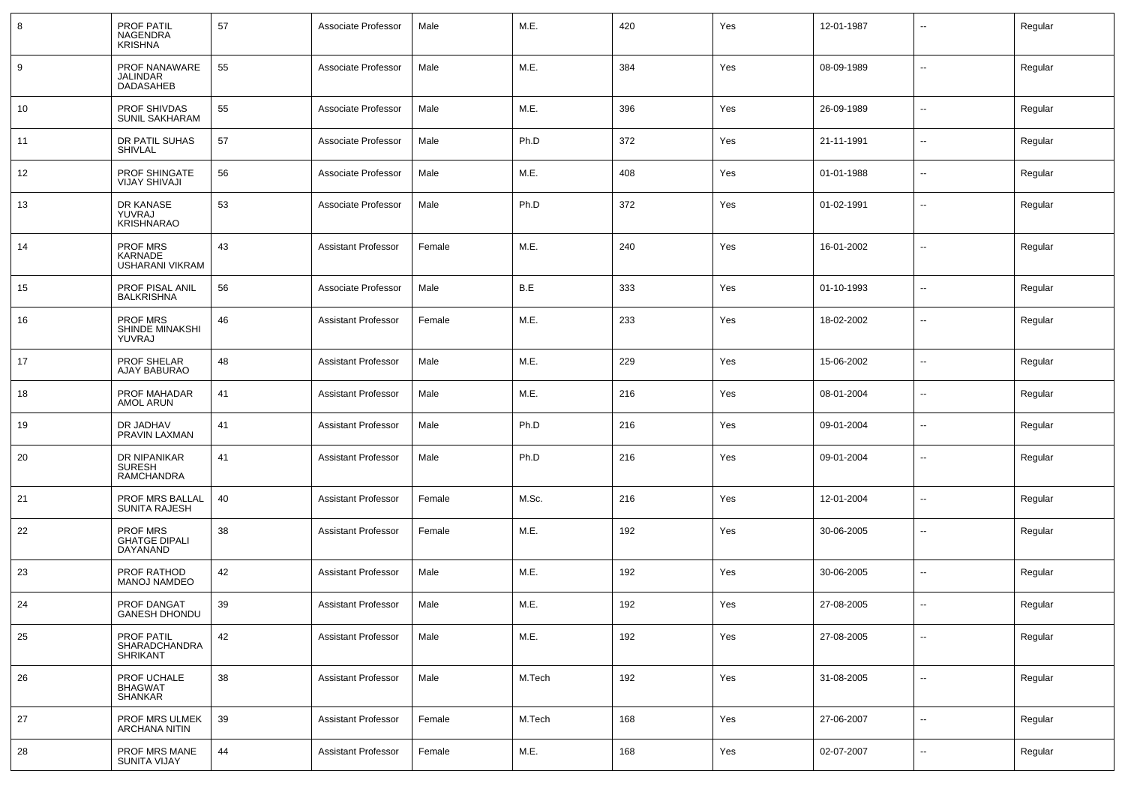| 8  | PROF PATIL<br>NAGENDRA<br><b>KRISHNA</b>            | 57 | Associate Professor        | Male   | M.E.   | 420 | Yes | 12-01-1987 | $\overline{\phantom{a}}$ | Regular |
|----|-----------------------------------------------------|----|----------------------------|--------|--------|-----|-----|------------|--------------------------|---------|
| 9  | PROF NANAWARE<br>JALINDAR<br>DADASAHEB              | 55 | Associate Professor        | Male   | M.E.   | 384 | Yes | 08-09-1989 | $\mathbf{u}$             | Regular |
| 10 | PROF SHIVDAS<br>SUNIL SAKHARAM                      | 55 | Associate Professor        | Male   | M.E.   | 396 | Yes | 26-09-1989 | $\sim$                   | Regular |
| 11 | DR PATIL SUHAS<br>SHIVLAL                           | 57 | Associate Professor        | Male   | Ph.D   | 372 | Yes | 21-11-1991 | $\mathbf{u}$             | Regular |
| 12 | PROF SHINGATE<br><b>VIJAY SHIVAJI</b>               | 56 | Associate Professor        | Male   | M.E.   | 408 | Yes | 01-01-1988 | $\mathbf{u}$             | Regular |
| 13 | DR KANASE<br>YUVRAJ<br><b>KRISHNARAO</b>            | 53 | Associate Professor        | Male   | Ph.D   | 372 | Yes | 01-02-1991 | $\sim$                   | Regular |
| 14 | PROF MRS<br>KARNADE<br><b>USHARANI VIKRAM</b>       | 43 | <b>Assistant Professor</b> | Female | M.E.   | 240 | Yes | 16-01-2002 | $-$                      | Regular |
| 15 | PROF PISAL ANIL<br><b>BALKRISHNA</b>                | 56 | Associate Professor        | Male   | B.E    | 333 | Yes | 01-10-1993 | $\overline{\phantom{a}}$ | Regular |
| 16 | <b>PROF MRS</b><br>SHINDE MINAKSHI<br><b>YUVRAJ</b> | 46 | <b>Assistant Professor</b> | Female | M.E.   | 233 | Yes | 18-02-2002 | $\overline{\phantom{a}}$ | Regular |
| 17 | PROF SHELAR<br>AJAY BABURAO                         | 48 | <b>Assistant Professor</b> | Male   | M.E.   | 229 | Yes | 15-06-2002 | $\overline{\phantom{a}}$ | Regular |
| 18 | PROF MAHADAR<br>AMOL ARUN                           | 41 | <b>Assistant Professor</b> | Male   | M.E.   | 216 | Yes | 08-01-2004 | $\overline{\phantom{a}}$ | Regular |
| 19 | DR JADHAV<br>PRAVIN LAXMAN                          | 41 | <b>Assistant Professor</b> | Male   | Ph.D   | 216 | Yes | 09-01-2004 | $\overline{\phantom{a}}$ | Regular |
| 20 | DR NIPANIKAR<br><b>SURESH</b><br><b>RAMCHANDRA</b>  | 41 | Assistant Professor        | Male   | Ph.D   | 216 | Yes | 09-01-2004 | $\overline{\phantom{a}}$ | Regular |
| 21 | PROF MRS BALLAL<br><b>SUNITA RAJESH</b>             | 40 | Assistant Professor        | Female | M.Sc.  | 216 | Yes | 12-01-2004 | $\overline{\phantom{a}}$ | Regular |
| 22 | PROF MRS<br><b>GHATGE DIPALI</b><br>DAYANAND        | 38 | <b>Assistant Professor</b> | Female | M.E.   | 192 | Yes | 30-06-2005 | $\mathbf{u}$             | Regular |
| 23 | PROF RATHOD<br><b>MANOJ NAMDEO</b>                  | 42 | Assistant Professor        | Male   | M.E.   | 192 | Yes | 30-06-2005 | $\sim$                   | Regular |
| 24 | PROF DANGAT<br><b>GANESH DHONDU</b>                 | 39 | <b>Assistant Professor</b> | Male   | M.E.   | 192 | Yes | 27-08-2005 | $\mathbf{u}$             | Regular |
| 25 | PROF PATIL<br>SHARADCHANDRA<br><b>SHRIKANT</b>      | 42 | <b>Assistant Professor</b> | Male   | M.E.   | 192 | Yes | 27-08-2005 | $\sim$                   | Regular |
| 26 | PROF UCHALE<br><b>BHAGWAT</b><br><b>SHANKAR</b>     | 38 | <b>Assistant Professor</b> | Male   | M.Tech | 192 | Yes | 31-08-2005 | $\mathbf{u}$             | Regular |
| 27 | PROF MRS ULMEK<br><b>ARCHANA NITIN</b>              | 39 | Assistant Professor        | Female | M.Tech | 168 | Yes | 27-06-2007 | $\sim$                   | Regular |
| 28 | PROF MRS MANE<br><b>SUNITA VIJAY</b>                | 44 | <b>Assistant Professor</b> | Female | M.E.   | 168 | Yes | 02-07-2007 | $\sim$                   | Regular |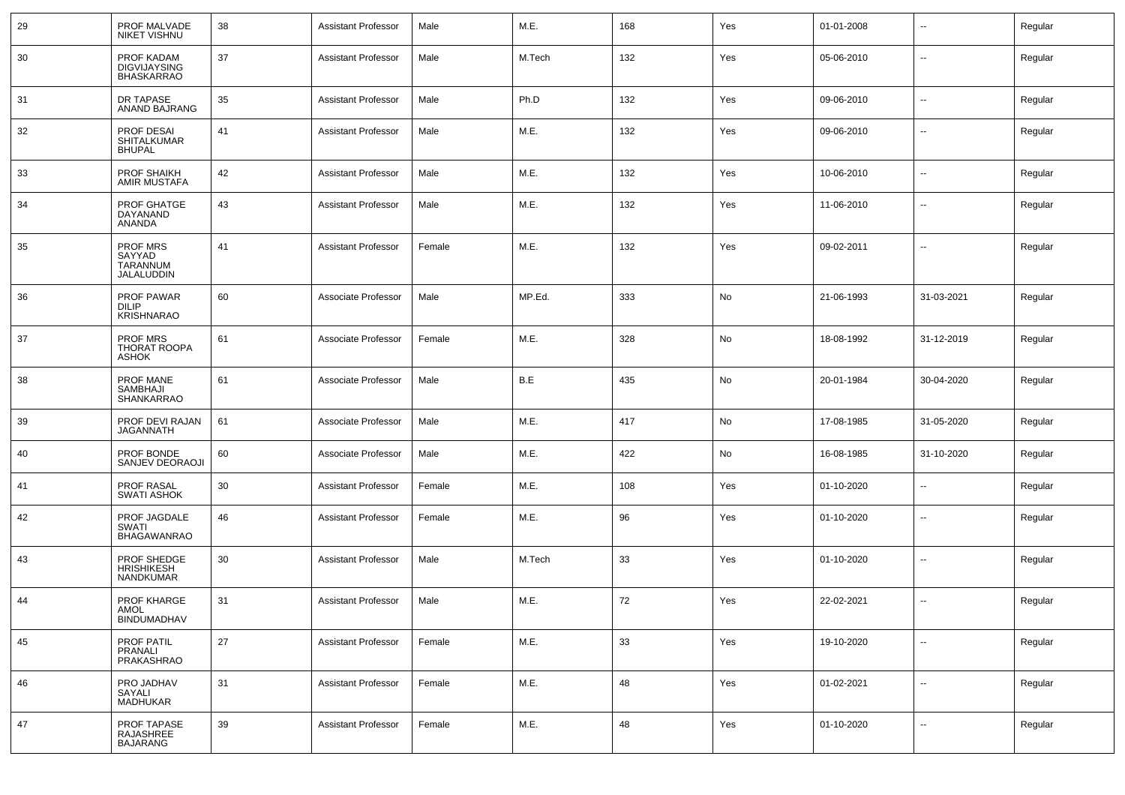| 29 | PROF MALVADE<br>NIKET VISHNU                               | 38 | <b>Assistant Professor</b> | Male   | M.E.   | 168 | Yes | 01-01-2008 |                          | Regular |
|----|------------------------------------------------------------|----|----------------------------|--------|--------|-----|-----|------------|--------------------------|---------|
| 30 | PROF KADAM<br><b>DIGVIJAYSING</b><br><b>BHASKARRAO</b>     | 37 | <b>Assistant Professor</b> | Male   | M.Tech | 132 | Yes | 05-06-2010 | --                       | Regular |
| 31 | DR TAPASE<br>ANAND BAJRANG                                 | 35 | <b>Assistant Professor</b> | Male   | Ph.D   | 132 | Yes | 09-06-2010 | Ξ.                       | Regular |
| 32 | PROF DESAI<br><b>SHITALKUMAR</b><br><b>BHUPAL</b>          | 41 | <b>Assistant Professor</b> | Male   | M.E.   | 132 | Yes | 09-06-2010 | $\overline{\phantom{a}}$ | Regular |
| 33 | <b>PROF SHAIKH</b><br>AMIR MUSTAFA                         | 42 | <b>Assistant Professor</b> | Male   | M.E.   | 132 | Yes | 10-06-2010 | $\sim$                   | Regular |
| 34 | PROF GHATGE<br>DAYANAND<br>ANANDA                          | 43 | <b>Assistant Professor</b> | Male   | M.E.   | 132 | Yes | 11-06-2010 | $\sim$                   | Regular |
| 35 | <b>PROF MRS</b><br>SAYYAD<br><b>TARANNUM</b><br>JALALUDDIN | 41 | <b>Assistant Professor</b> | Female | M.E.   | 132 | Yes | 09-02-2011 | --                       | Regular |
| 36 | <b>PROF PAWAR</b><br><b>DILIP</b><br><b>KRISHNARAO</b>     | 60 | Associate Professor        | Male   | MP.Ed. | 333 | No  | 21-06-1993 | 31-03-2021               | Regular |
| 37 | PROF MRS<br>THORAT ROOPA<br><b>ASHOK</b>                   | 61 | Associate Professor        | Female | M.E.   | 328 | No  | 18-08-1992 | 31-12-2019               | Regular |
| 38 | PROF MANE<br>SAMBHAJI<br><b>SHANKARRAO</b>                 | 61 | Associate Professor        | Male   | B.E    | 435 | No  | 20-01-1984 | 30-04-2020               | Regular |
| 39 | PROF DEVI RAJAN<br>JAGANNATH                               | 61 | Associate Professor        | Male   | M.E.   | 417 | No  | 17-08-1985 | 31-05-2020               | Regular |
| 40 | PROF BONDE<br>SANJEV DEORAOJI                              | 60 | Associate Professor        | Male   | M.E.   | 422 | No  | 16-08-1985 | 31-10-2020               | Regular |
| 41 | PROF RASAL<br><b>SWATI ASHOK</b>                           | 30 | <b>Assistant Professor</b> | Female | M.E.   | 108 | Yes | 01-10-2020 | $\sim$                   | Regular |
| 42 | PROF JAGDALE<br><b>SWATI</b><br>BHAGAWANRAO                | 46 | <b>Assistant Professor</b> | Female | M.E.   | 96  | Yes | 01-10-2020 | $\sim$                   | Regular |
| 43 | PROF SHEDGE<br>HRISHIKESH<br><b>NANDKUMAR</b>              | 30 | <b>Assistant Professor</b> | Male   | M.Tech | 33  | Yes | 01-10-2020 | --                       | Regular |
| 44 | PROF KHARGE<br>AMOL<br><b>BINDUMADHAV</b>                  | 31 | <b>Assistant Professor</b> | Male   | M.E.   | 72  | Yes | 22-02-2021 | --                       | Regular |
| 45 | PROF PATIL<br>PRANALI<br>PRAKASHRAO                        | 27 | <b>Assistant Professor</b> | Female | M.E.   | 33  | Yes | 19-10-2020 | Ξ.                       | Regular |
| 46 | PRO JADHAV<br>SAYALI<br><b>MADHUKAR</b>                    | 31 | <b>Assistant Professor</b> | Female | M.E.   | 48  | Yes | 01-02-2021 | $\overline{a}$           | Regular |
| 47 | PROF TAPASE<br>RAJASHREE<br><b>BAJARANG</b>                | 39 | <b>Assistant Professor</b> | Female | M.E.   | 48  | Yes | 01-10-2020 | $\sim$                   | Regular |